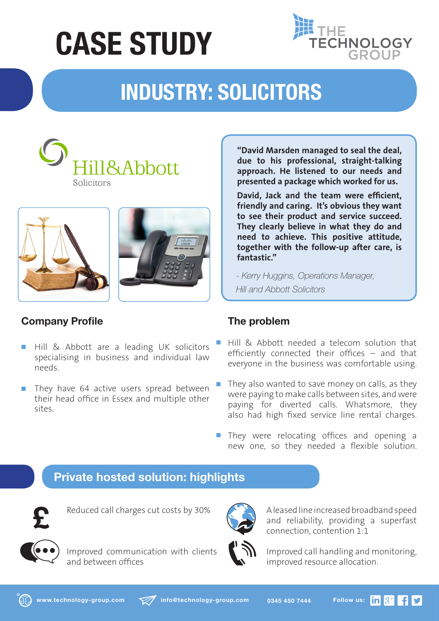# **CASE STUDY**



# **INDUSTRY: SOLICITORS**







## **Company Profile**

- Hill & Abbott are a leading UK solicitors  $\mathcal{L}_{\mathcal{A}}$ specialising in business and individual law needs.
- They have 64 active users spread between  $\mathcal{C}^{\mathcal{A}}$ their head office in Essex and multiple other sites.

**"David Marsden managed to seal the deal, due to his professional, straight-talking approach. He listened to our needs and presented a package which worked for us.**

**David, Jack and the team were efficient, friendly and caring. It's obvious they want to see their product and service succeed. They clearly believe in what they do and need to achieve. This positive attitude, together with the follow-up after care, is fantastic."**

*- Kerry Huggins, Operations Manager, Hill and Abbott Solicitors* 

### **The problem**

- Hill & Abbott needed a telecom solution that efficiently connected their offices – and that everyone in the business was comfortable using.
- They also wanted to save money on calls, as they were paying to make calls between sites, and were paying for diverted calls. Whatsmore, they also had high fixed service line rental charges.
- **They were relocating offices and opening a** new one, so they needed a flexible solution.

# **Private hosted solution: highlights**

Description: Logo Design Bray Design 01754 898044 Date: 21/7/2014 © BrayDesign 2014



Reduced call charges cut costs by 30%



Improved communication with clients and between offices



A leased line increased broadband speed and reliability, providing a superfast connection, contention 1:1

Improved call handling and monitoring, improved resource allocation.